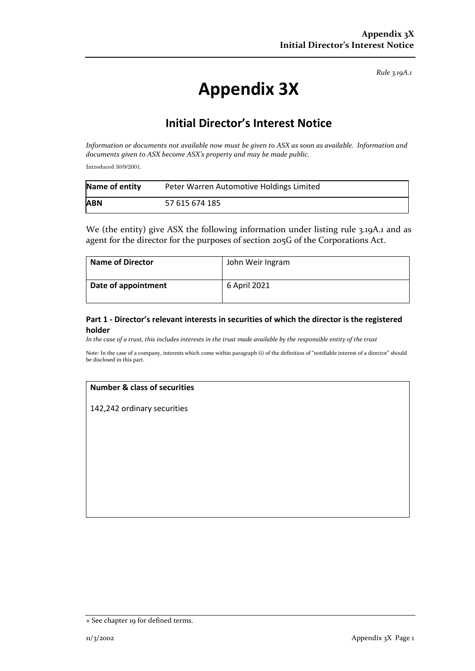*Rule 3.19A.1*

# **Appendix 3X**

# **Initial Director's Interest Notice**

*Information or documents not available now must be given to ASX as soon as available. Information and documents given to ASX become ASX's property and may be made public.*

Introduced 30/9/2001.

| Name of entity | Peter Warren Automotive Holdings Limited |
|----------------|------------------------------------------|
| <b>ABN</b>     | 57 615 674 185                           |

We (the entity) give ASX the following information under listing rule 3.19A.1 and as agent for the director for the purposes of section 205G of the Corporations Act.

| <b>Name of Director</b> | John Weir Ingram |
|-------------------------|------------------|
| Date of appointment     | 6 April 2021     |

### **Part 1 - Director's relevant interests in securities of which the director is the registered holder**

*In the case of a trust, this includes interests in the trust made available by the responsible entity of the trust*

Note: In the case of a company, interests which come within paragraph (i) of the definition of "notifiable interest of a director" should be disclosed in this part.

#### **Number & class of securities**

142,242 ordinary securities

<sup>+</sup> See chapter 19 for defined terms.